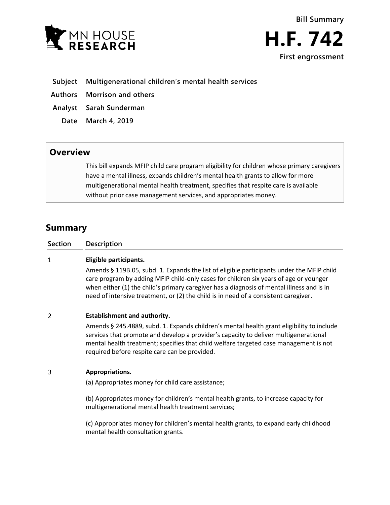



- **Subject Multigenerational children's mental health services**
- **Authors Morrison and others**
- **Analyst Sarah Sunderman**
	- **Date March 4, 2019**

# **Overview**

This bill expands MFIP child care program eligibility for children whose primary caregivers have a mental illness, expands children's mental health grants to allow for more multigenerational mental health treatment, specifies that respite care is available without prior case management services, and appropriates money.

# **Summary**

| Section | Description |
|---------|-------------|
|         |             |

## $\mathbf{1}$ **Eligible participants.**

Amends § 119B.05, subd. 1. Expands the list of eligible participants under the MFIP child care program by adding MFIP child-only cases for children six years of age or younger when either (1) the child's primary caregiver has a diagnosis of mental illness and is in need of intensive treatment, or (2) the child is in need of a consistent caregiver.

### $\overline{2}$ **Establishment and authority.**

Amends § 245.4889, subd. 1. Expands children's mental health grant eligibility to include services that promote and develop a provider's capacity to deliver multigenerational mental health treatment; specifies that child welfare targeted case management is not required before respite care can be provided.

### 3 **Appropriations.**

(a) Appropriates money for child care assistance;

(b) Appropriates money for children's mental health grants, to increase capacity for multigenerational mental health treatment services;

(c) Appropriates money for children's mental health grants, to expand early childhood mental health consultation grants.